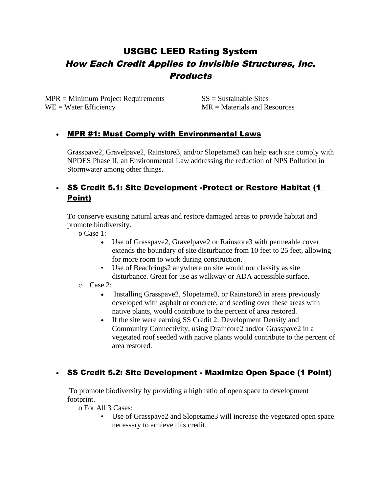# USGBC LEED Rating System How Each Credit Applies to Invisible Structures, Inc. **Products**

 $MPR = Minimum Project Requirements$   $SS = Sustainable Sites$ WE = Water Efficiency MR = Materials and Resources

### • MPR #1: Must Comply with Environmental Laws

Grasspave2, Gravelpave2, Rainstore3, and/or Slopetame3 can help each site comply with NPDES Phase II, an Environmental Law addressing the reduction of NPS Pollution in Stormwater among other things.

# • SS Credit 5.1: Site Development -Protect or Restore Habitat (1 Point)

To conserve existing natural areas and restore damaged areas to provide habitat and promote biodiversity.

o Case 1:

- Use of Grasspave2, Gravelpave2 or Rainstore3 with permeable cover extends the boundary of site disturbance from 10 feet to 25 feet, allowing for more room to work during construction.
- Use of Beachrings2 anywhere on site would not classify as site disturbance. Great for use as walkway or ADA accessible surface.
- o Case 2:
	- Installing Grasspave2, Slopetame3, or Rainstore3 in areas previously developed with asphalt or concrete, and seeding over these areas with native plants, would contribute to the percent of area restored.
	- If the site were earning SS Credit 2: Development Density and Community Connectivity, using Draincore2 and/or Grasspave2 in a vegetated roof seeded with native plants would contribute to the percent of area restored.

## • SS Credit 5.2: Site Development - Maximize Open Space (1 Point)

 To promote biodiversity by providing a high ratio of open space to development footprint.

o For All 3 Cases:

• Use of Grasspave2 and Slopetame3 will increase the vegetated open space necessary to achieve this credit.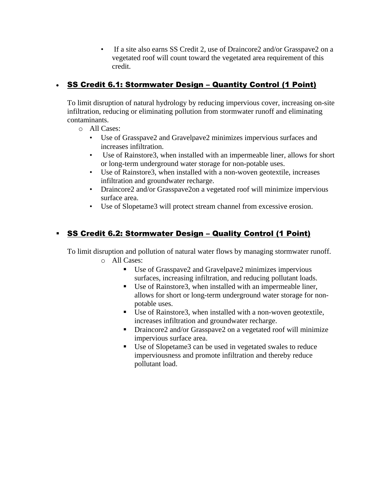• If a site also earns SS Credit 2, use of Draincore2 and/or Grasspave2 on a vegetated roof will count toward the vegetated area requirement of this credit.

# • SS Credit 6.1: Stormwater Design – Quantity Control (1 Point)

To limit disruption of natural hydrology by reducing impervious cover, increasing on-site infiltration, reducing or eliminating pollution from stormwater runoff and eliminating contaminants.

- o All Cases:
	- Use of Grasspave2 and Gravelpave2 minimizes impervious surfaces and increases infiltration.
	- Use of Rainstore3, when installed with an impermeable liner, allows for short or long-term underground water storage for non-potable uses.
	- Use of Rainstore3, when installed with a non-woven geotextile, increases infiltration and groundwater recharge.
	- Draincore2 and/or Grasspave2on a vegetated roof will minimize impervious surface area.
	- Use of Slopetame3 will protect stream channel from excessive erosion.

# SS Credit 6.2: Stormwater Design – Quality Control (1 Point)

To limit disruption and pollution of natural water flows by managing stormwater runoff.

- o All Cases:
	- Use of Grasspave2 and Gravelpave2 minimizes impervious surfaces, increasing infiltration, and reducing pollutant loads.
	- Use of Rainstore3, when installed with an impermeable liner, allows for short or long-term underground water storage for nonpotable uses.
	- Use of Rainstore3, when installed with a non-woven geotextile, increases infiltration and groundwater recharge.
	- Draincore2 and/or Grasspave2 on a vegetated roof will minimize impervious surface area.
	- Use of Slopetame3 can be used in vegetated swales to reduce imperviousness and promote infiltration and thereby reduce pollutant load.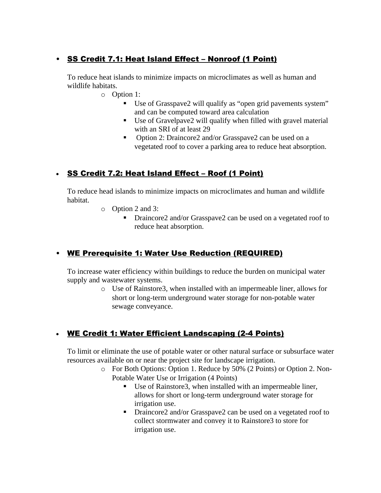# • SS Credit 7.1: Heat Island Effect – Nonroof (1 Point)

To reduce heat islands to minimize impacts on microclimates as well as human and wildlife habitats.

- o Option 1:
	- Use of Grasspave2 will qualify as "open grid pavements system" and can be computed toward area calculation
	- Use of Gravelpave2 will qualify when filled with gravel material with an SRI of at least 29
	- Option 2: Draincore2 and/or Grasspave2 can be used on a vegetated roof to cover a parking area to reduce heat absorption.

## • SS Credit 7.2: Heat Island Effect – Roof (1 Point)

To reduce head islands to minimize impacts on microclimates and human and wildlife habitat.

- o Option 2 and 3:
	- Draincore2 and/or Grasspave2 can be used on a vegetated roof to reduce heat absorption.

# • WE Prerequisite 1: Water Use Reduction (REQUIRED)

To increase water efficiency within buildings to reduce the burden on municipal water supply and wastewater systems.

> o Use of Rainstore3, when installed with an impermeable liner, allows for short or long-term underground water storage for non-potable water sewage conveyance.

# • WE Credit 1: Water Efficient Landscaping (2-4 Points)

To limit or eliminate the use of potable water or other natural surface or subsurface water resources available on or near the project site for landscape irrigation.

- o For Both Options: Option 1. Reduce by 50% (2 Points) or Option 2. Non-Potable Water Use or Irrigation (4 Points)
	- Use of Rainstore3, when installed with an impermeable liner, allows for short or long-term underground water storage for irrigation use.
	- Draincore2 and/or Grasspave2 can be used on a vegetated roof to collect stormwater and convey it to Rainstore3 to store for irrigation use.